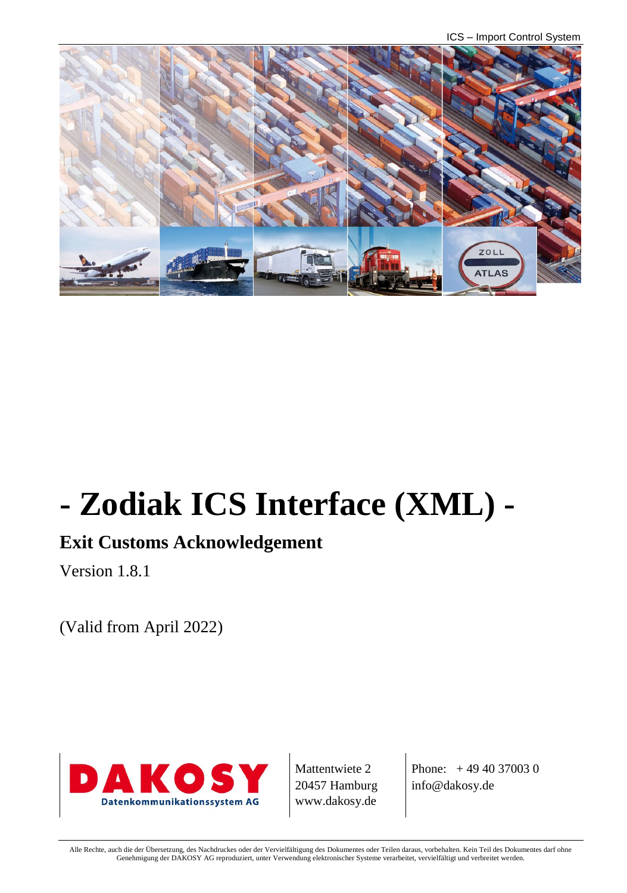ICS – Import Control System



# **- Zodiak ICS Interface (XML) -**

# **Exit Customs Acknowledgement**

Version 1.8.1

(Valid from April 2022)



Mattentwiete 2 20457 Hamburg www.dakosy.de

Phone: + 49 40 37003 0 info@dakosy.de

Alle Rechte, auch die der Übersetzung, des Nachdruckes oder der Vervielfältigung des Dokumentes oder Teilen daraus, vorbehalten. Kein Teil des Dokumentes darf ohne Genehmigung der DAKOSY AG reproduziert, unter Verwendung elektronischer Systeme verarbeitet, vervielfältigt und verbreitet werden.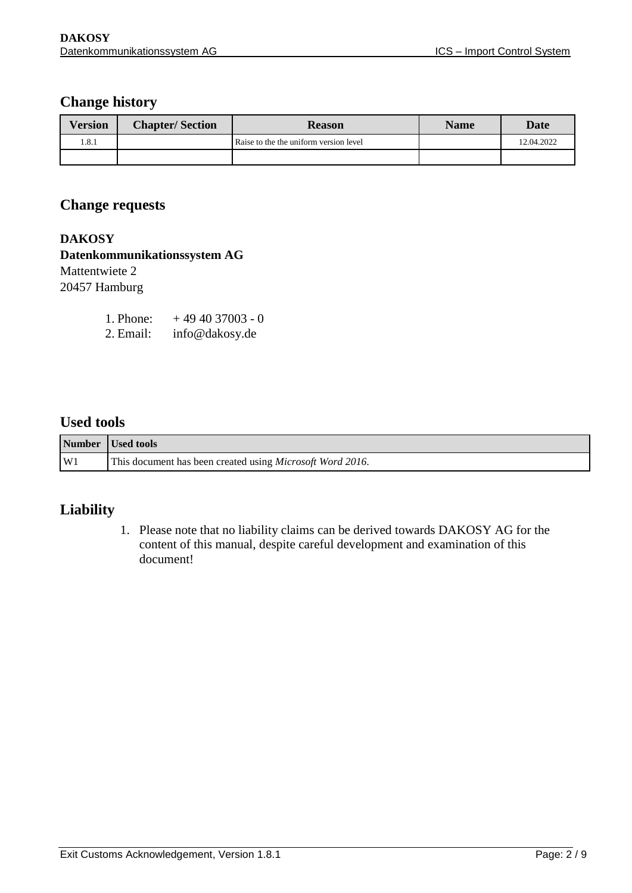#### **Change history**

| <b>Version</b> | <b>Chapter/Section</b> | <b>Reason</b>                          | <b>Name</b> | Date       |
|----------------|------------------------|----------------------------------------|-------------|------------|
| l.8.1          |                        | Raise to the the uniform version level |             | 12.04.2022 |
|                |                        |                                        |             |            |

#### **Change requests**

**DAKOSY Datenkommunikationssystem AG**  Mattentwiete 2 20457 Hamburg

| 1. Phone: | $+494037003 - 0$ |
|-----------|------------------|
| 2. Email: | info@dakosy.de   |

## **Used tools**

|    | Number Used tools                                                 |  |
|----|-------------------------------------------------------------------|--|
| W1 | This document has been created using <i>Microsoft Word 2016</i> . |  |

## **Liability**

1. Please note that no liability claims can be derived towards DAKOSY AG for the content of this manual, despite careful development and examination of this document!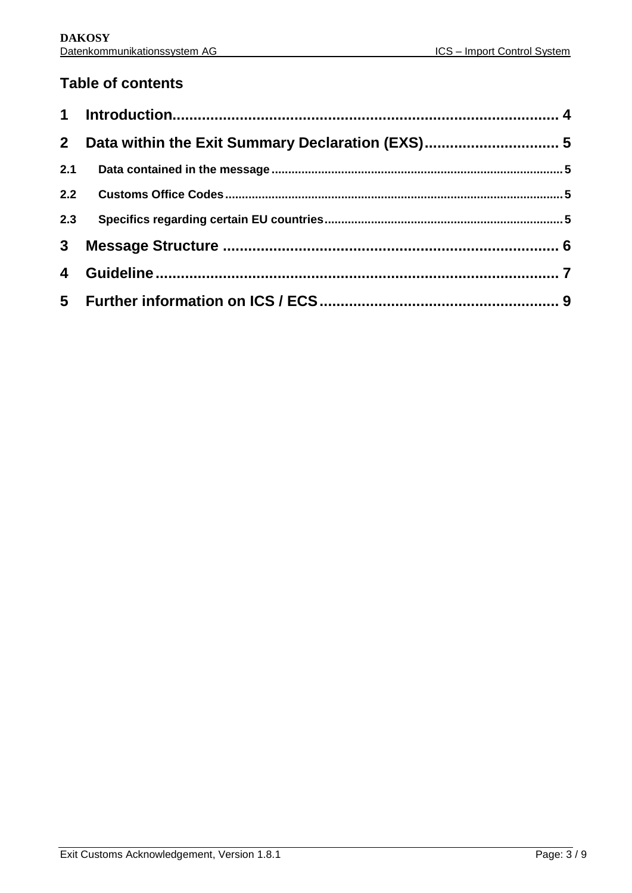## **Table of contents**

| 2 <sup>1</sup> | Data within the Exit Summary Declaration (EXS) 5 |  |
|----------------|--------------------------------------------------|--|
| 2.1            |                                                  |  |
| 2.2            |                                                  |  |
| 2.3            |                                                  |  |
| 3 <sup>1</sup> |                                                  |  |
| 4              |                                                  |  |
|                |                                                  |  |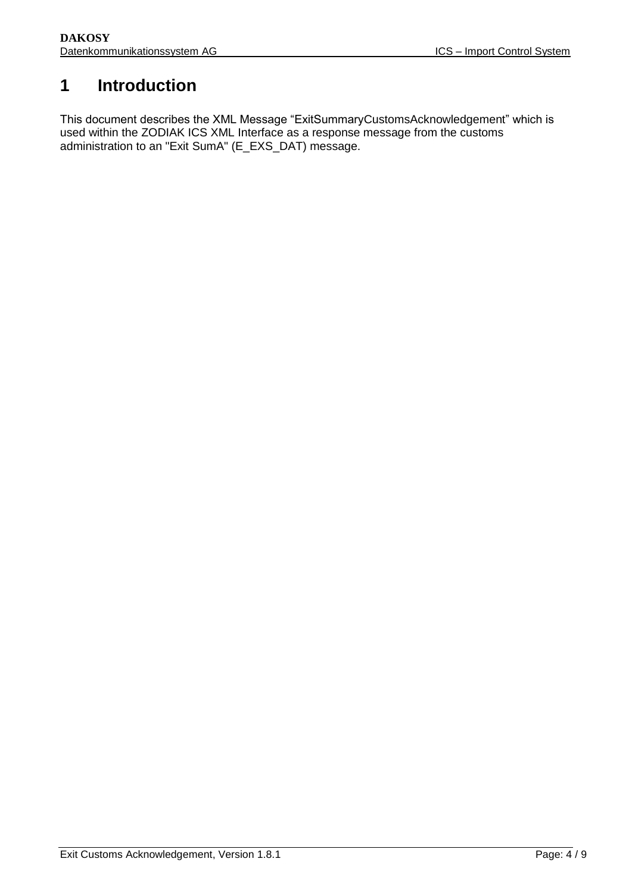# <span id="page-3-0"></span>**1 Introduction**

This document describes the XML Message "ExitSummaryCustomsAcknowledgement" which is used within the ZODIAK ICS XML Interface as a response message from the customs administration to an "Exit SumA" (E\_EXS\_DAT) message.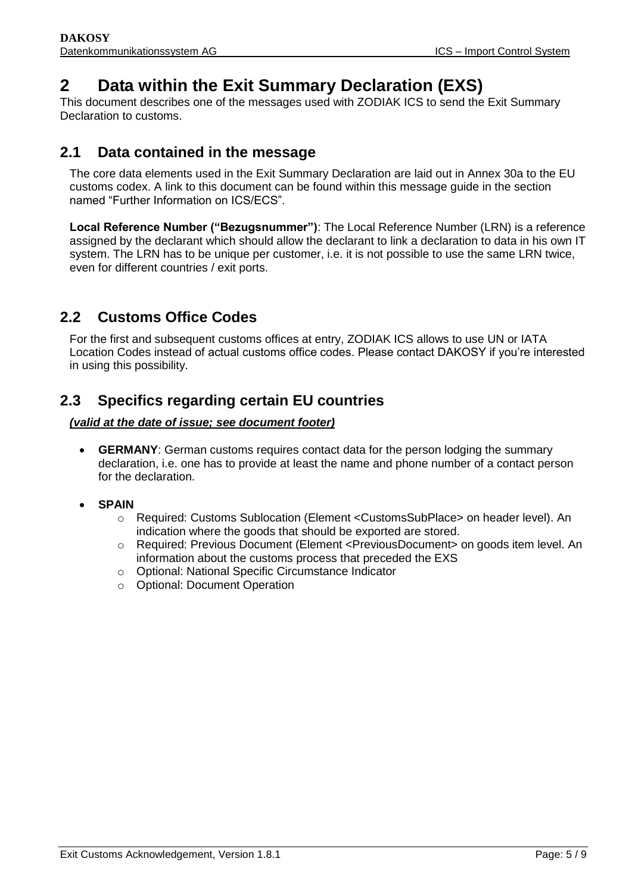## <span id="page-4-0"></span>**2 Data within the Exit Summary Declaration (EXS)**

This document describes one of the messages used with ZODIAK ICS to send the Exit Summary Declaration to customs.

## <span id="page-4-1"></span>**2.1 Data contained in the message**

The core data elements used in the Exit Summary Declaration are laid out in Annex 30a to the EU customs codex. A link to this document can be found within this message guide in the section named "Further Information on ICS/ECS".

**Local Reference Number ("Bezugsnummer")**: The Local Reference Number (LRN) is a reference assigned by the declarant which should allow the declarant to link a declaration to data in his own IT system. The LRN has to be unique per customer, i.e. it is not possible to use the same LRN twice, even for different countries / exit ports.

## <span id="page-4-2"></span>**2.2 Customs Office Codes**

For the first and subsequent customs offices at entry, ZODIAK ICS allows to use UN or IATA Location Codes instead of actual customs office codes. Please contact DAKOSY if you're interested in using this possibility.

## <span id="page-4-3"></span>**2.3 Specifics regarding certain EU countries**

#### *(valid at the date of issue; see document footer)*

- **GERMANY**: German customs requires contact data for the person lodging the summary declaration, i.e. one has to provide at least the name and phone number of a contact person for the declaration.
- **SPAIN**
	- o Required: Customs Sublocation (Element <CustomsSubPlace> on header level). An indication where the goods that should be exported are stored.
	- o Required: Previous Document (Element <PreviousDocument> on goods item level. An information about the customs process that preceded the EXS
	- o Optional: National Specific Circumstance Indicator
	- o Optional: Document Operation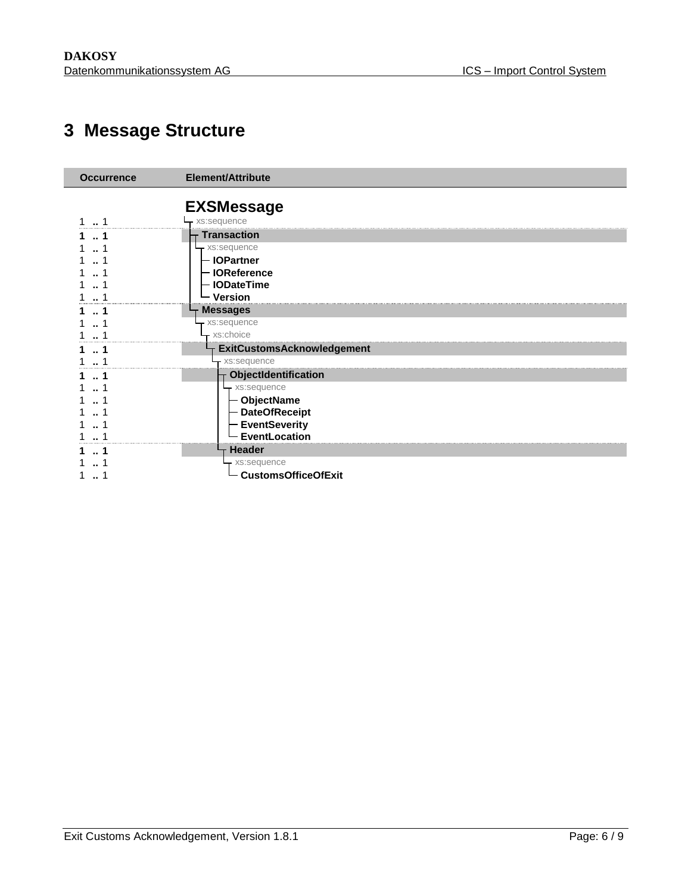# **Message Structure**

<span id="page-5-0"></span>

| <b>Occurrence</b> | <b>Element/Attribute</b>          |  |
|-------------------|-----------------------------------|--|
|                   | <b>EXSMessage</b>                 |  |
| 1                 | xs:sequence                       |  |
|                   | <b>Transaction</b>                |  |
|                   | xs:sequence                       |  |
|                   | <b>IOPartner</b>                  |  |
|                   | <b>IOReference</b>                |  |
|                   | <b>IODateTime</b>                 |  |
|                   | <b>Version</b>                    |  |
|                   | <b>Messages</b>                   |  |
|                   | xs:sequence                       |  |
|                   | xs:choice                         |  |
| 1                 | <b>ExitCustomsAcknowledgement</b> |  |
| 1                 | - xs:sequence                     |  |
| 1                 | ObjectIdentification              |  |
|                   | - xs:sequence                     |  |
|                   | - ObjectName                      |  |
|                   | - DateOfReceipt                   |  |
|                   | <b>EventSeverity</b>              |  |
|                   | EventLocation                     |  |
| 1                 | <b>Header</b>                     |  |
|                   | xs:sequence                       |  |
|                   | <b>CustomsOfficeOfExit</b>        |  |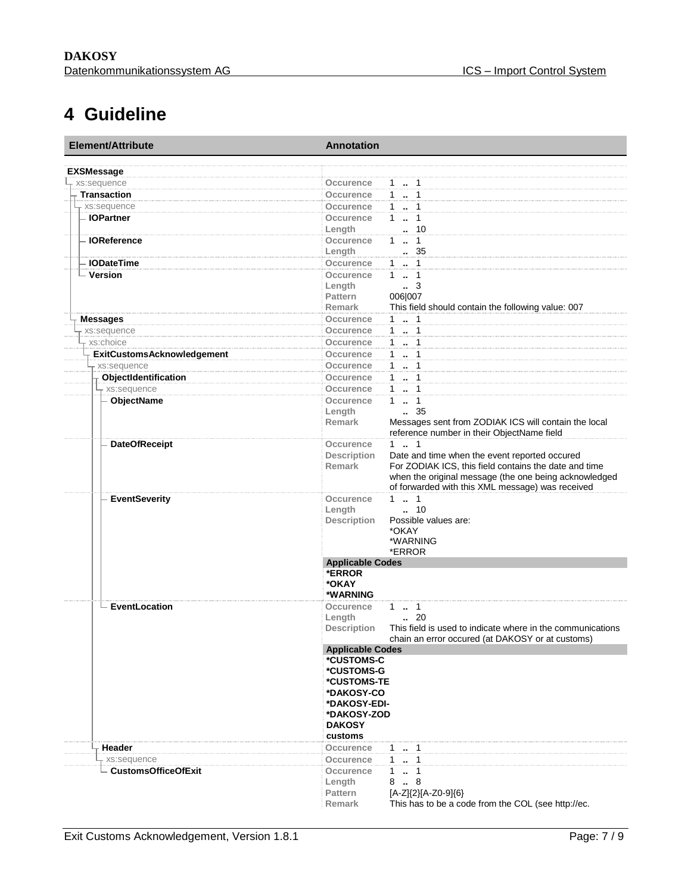## **4 Guideline**

<span id="page-6-0"></span>

| Element/Attribute                 | <b>Annotation</b>                                                                |  |  |
|-----------------------------------|----------------------------------------------------------------------------------|--|--|
| <b>EXSMessage</b>                 |                                                                                  |  |  |
| xs:sequence                       | Occurence<br>$1 - 1$                                                             |  |  |
| <b>Transaction</b>                | 1  1<br>Occurence                                                                |  |  |
| + xs:sequence                     | 1  1<br>Occurence                                                                |  |  |
| - IOPartner                       | Occurence<br>$1 \t  1$                                                           |  |  |
|                                   | $\cdot$ 10<br>Length                                                             |  |  |
| <b>IOReference</b>                | 11<br>Occurence                                                                  |  |  |
|                                   | $\therefore$ 35<br>Length                                                        |  |  |
| <b>IODateTime</b>                 | Occurence<br>$1 - 1$                                                             |  |  |
| - Version                         | 1  1<br>Occurence                                                                |  |  |
|                                   | Length<br>$\cdot$ 3                                                              |  |  |
|                                   | 006 007<br>Pattern                                                               |  |  |
|                                   | <b>Remark</b><br>This field should contain the following value: 007              |  |  |
| <b>Messages</b>                   | 1  1<br>Occurence                                                                |  |  |
| xs:sequence                       | 1  1<br><b>Occurence</b>                                                         |  |  |
| xs:choice                         | 1  1<br>Occurence                                                                |  |  |
| <b>ExitCustomsAcknowledgement</b> | $1 - 1$<br>Occurence                                                             |  |  |
| xs:sequence                       | $1 \t{.} 1$<br>Occurence                                                         |  |  |
| ObjectIdentification              | 1  1<br><b>Occurence</b>                                                         |  |  |
| xs:sequence                       | Occurence<br>1  1                                                                |  |  |
| <b>ObjectName</b>                 | Occurence<br>11                                                                  |  |  |
|                                   | . 35<br>Length                                                                   |  |  |
|                                   | Messages sent from ZODIAK ICS will contain the local<br><b>Remark</b>            |  |  |
|                                   | reference number in their ObjectName field                                       |  |  |
| <b>DateOfReceipt</b>              | 11<br><b>Occurence</b>                                                           |  |  |
|                                   | <b>Description</b><br>Date and time when the event reported occured              |  |  |
|                                   | For ZODIAK ICS, this field contains the date and time<br><b>Remark</b>           |  |  |
|                                   | when the original message (the one being acknowledged                            |  |  |
|                                   | of forwarded with this XML message) was received                                 |  |  |
| <b>EventSeverity</b>              | 11<br><b>Occurence</b>                                                           |  |  |
|                                   | $\ldots$ 10<br>Length                                                            |  |  |
|                                   | <b>Description</b><br>Possible values are:<br>*OKAY                              |  |  |
|                                   | *WARNING                                                                         |  |  |
|                                   | *ERROR                                                                           |  |  |
|                                   | <b>Applicable Codes</b>                                                          |  |  |
|                                   | *ERROR                                                                           |  |  |
|                                   | *OKAY                                                                            |  |  |
|                                   | *WARNING                                                                         |  |  |
| EventLocation                     | Occurence<br>$1 \t  \t 1$                                                        |  |  |
|                                   | Length<br>$\cdot$ 20                                                             |  |  |
|                                   | <b>Description</b><br>This field is used to indicate where in the communications |  |  |
|                                   | chain an error occured (at DAKOSY or at customs)                                 |  |  |
|                                   | <b>Applicable Codes</b>                                                          |  |  |
|                                   | *CUSTOMS-C                                                                       |  |  |
|                                   | *CUSTOMS-G                                                                       |  |  |
|                                   | *CUSTOMS-TE                                                                      |  |  |
|                                   | *DAKOSY-CO                                                                       |  |  |
|                                   | *DAKOSY-EDI-<br>*DAKOSY-ZOD                                                      |  |  |
|                                   | <b>DAKOSY</b>                                                                    |  |  |
|                                   | customs                                                                          |  |  |
| Header                            | Occurence<br>$1 \t  \t 1$                                                        |  |  |
| xs:sequence                       | Occurence                                                                        |  |  |
| - CustomsOfficeOfExit             | $1 \t  \t 1$<br>- 1                                                              |  |  |
|                                   | Occurence<br>$\ddot{\phantom{a}}$<br>8<br>8<br>Length                            |  |  |
|                                   | [A-Z]{2}[A-Z0-9]{6}<br><b>Pattern</b>                                            |  |  |
|                                   | This has to be a code from the COL (see http://ec.<br>Remark                     |  |  |
|                                   |                                                                                  |  |  |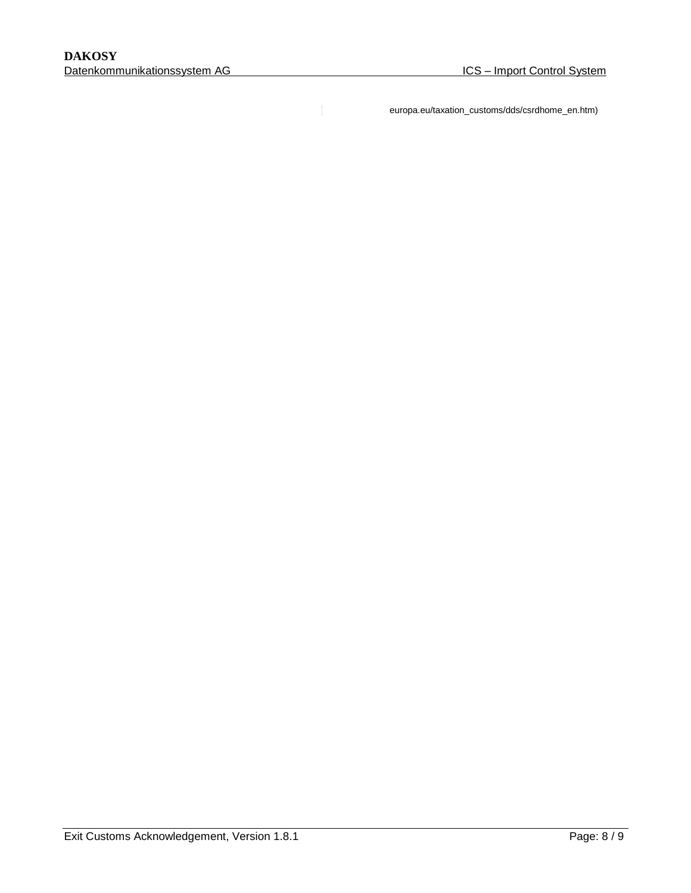europa.eu/taxation\_customs/dds/csrdhome\_en.htm)